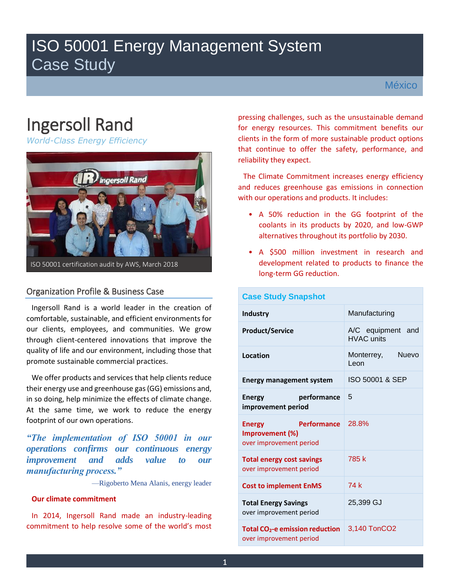# ISO 50001 Energy Management System Case Study

# Ingersoll Rand

*World-Class Energy Efficiency* 



# Organization Profile & Business Case

Ingersoll Rand is a world leader in the creation of comfortable, sustainable, and efficient environments for our clients, employees, and communities. We grow through client-centered innovations that improve the quality of life and our environment, including those that promote sustainable commercial practices.

We offer products and services that help clients reduce their energy use and greenhouse gas (GG) emissions and, in so doing, help minimize the effects of climate change. At the same time, we work to reduce the energy footprint of our own operations.

*"The implementation of ISO 50001 in our operations confirms our continuous energy improvement and adds value to our manufacturing process."*

—Rigoberto Mena Alanis, energy leader

### **Our climate commitment**

In 2014, Ingersoll Rand made an industry-leading commitment to help resolve some of the world's most

pressing challenges, such as the unsustainable demand for energy resources. This commitment benefits our clients in the form of more sustainable product options that continue to offer the safety, performance, and reliability they expect.

The Climate Commitment increases energy efficiency and reduces greenhouse gas emissions in connection with our operations and products. It includes:

- A 50% reduction in the GG footprint of the coolants in its products by 2020, and low-GWP alternatives throughout its portfolio by 2030.
- A \$500 million investment in research and development related to products to finance the long-term GG reduction.

| <b>Case Study Snapshot</b>                                                        |                                        |
|-----------------------------------------------------------------------------------|----------------------------------------|
| <b>Industry</b>                                                                   | Manufacturing                          |
| <b>Product/Service</b>                                                            | A/C equipment and<br><b>HVAC units</b> |
| <b>Location</b>                                                                   | Monterrey,<br><b>Nuevo</b><br>l eon    |
| <b>Energy management system</b>                                                   | ISO 50001 & SEP                        |
| performance<br>Energy<br>improvement period                                       | 5                                      |
| <b>Performance</b><br><b>Energy</b><br>Improvement (%)<br>over improvement period | 28.8%                                  |
| <b>Total energy cost savings</b><br>over improvement period                       | 785 k                                  |
| <b>Cost to implement EnMS</b>                                                     | 74 k                                   |
| <b>Total Energy Savings</b><br>over improvement period                            | 25,399 GJ                              |
| <b>Total CO<sub>2</sub>-e emission reduction</b><br>over improvement period       | 3,140 TonCO2                           |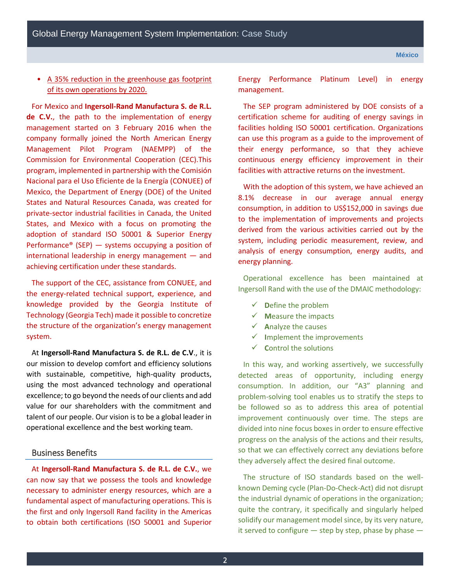## • A 35% reduction in the greenhouse gas footprint of its own operations by 2020.

For Mexico and **Ingersoll-Rand Manufactura S. de R.L. de C.V.**, the path to the implementation of energy management started on 3 February 2016 when the company formally joined the North American Energy Management Pilot Program (NAEMPP) of the Commission for Environmental Cooperation (CEC).This program, implemented in partnership with the Comisión Nacional para el Uso Eficiente de la Energía (CONUEE) of Mexico, the Department of Energy (DOE) of the United States and Natural Resources Canada, was created for private-sector industrial facilities in Canada, the United States, and Mexico with a focus on promoting the adoption of standard ISO 50001 & Superior Energy Performance<sup>®</sup> (SEP)  $-$  systems occupying a position of international leadership in energy management — and achieving certification under these standards.

The support of the CEC, assistance from CONUEE, and the energy-related technical support, experience, and knowledge provided by the Georgia Institute of Technology (Georgia Tech) made it possible to concretize the structure of the organization's energy management system.

At **Ingersoll-Rand Manufactura S. de R.L. de C.V**., it is our mission to develop comfort and efficiency solutions with sustainable, competitive, high-quality products, using the most advanced technology and operational excellence; to go beyond the needs of our clients and add value for our shareholders with the commitment and talent of our people. Our vision is to be a global leader in operational excellence and the best working team.

#### Business Benefits

At **Ingersoll-Rand Manufactura S. de R.L. de C.V.**, we can now say that we possess the tools and knowledge necessary to administer energy resources, which are a fundamental aspect of manufacturing operations. This is the first and only Ingersoll Rand facility in the Americas to obtain both certifications (ISO 50001 and Superior

Energy Performance Platinum Level) in energy management.

The SEP program administered by DOE consists of a certification scheme for auditing of energy savings in facilities holding ISO 50001 certification. Organizations can use this program as a guide to the improvement of their energy performance, so that they achieve continuous energy efficiency improvement in their facilities with attractive returns on the investment.

With the adoption of this system, we have achieved an 8.1% decrease in our average annual energy consumption, in addition to US\$152,000 in savings due to the implementation of improvements and projects derived from the various activities carried out by the system, including periodic measurement, review, and analysis of energy consumption, energy audits, and energy planning.

Operational excellence has been maintained at Ingersoll Rand with the use of the DMAIC methodology:

- $\checkmark$  **D**efine the problem
- $\checkmark$  **Measure the impacts**
- $\checkmark$  **A**nalyze the causes
- **I**mplement the improvements
- $\checkmark$  **Control the solutions**

In this way, and working assertively, we successfully detected areas of opportunity, including energy consumption. In addition, our "A3" planning and problem-solving tool enables us to stratify the steps to be followed so as to address this area of potential improvement continuously over time. The steps are divided into nine focus boxes in order to ensure effective progress on the analysis of the actions and their results, so that we can effectively correct any deviations before they adversely affect the desired final outcome.

The structure of ISO standards based on the wellknown Deming cycle (Plan-Do-Check-Act) did not disrupt the industrial dynamic of operations in the organization; quite the contrary, it specifically and singularly helped solidify our management model since, by its very nature, it served to configure  $-$  step by step, phase by phase  $-$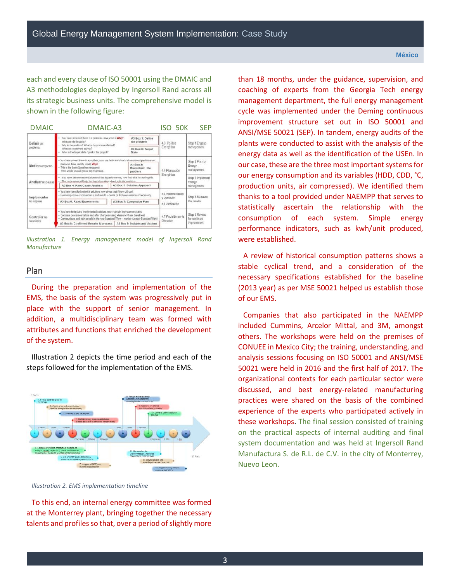each and every clause of ISO 50001 using the DMAIC and A3 methodologies deployed by Ingersoll Rand across all its strategic business units. The comprehensive model is shown in the following figure:

| <b>DMAIC</b>                | DMAIC-A3                                                                                                                                                                                                                                                |                                       | ISO 50K                                               | <b>SFP</b>                               |
|-----------------------------|---------------------------------------------------------------------------------------------------------------------------------------------------------------------------------------------------------------------------------------------------------|---------------------------------------|-------------------------------------------------------|------------------------------------------|
| Definir del                 | You have indicated there is a problem- now prove it Why?<br>What are the impacts?                                                                                                                                                                       | A3 Box 1: Define<br>the problem       | 4.3 Politica                                          | Stop 1 Engage                            |
| problema.                   | Why is it a problem? What is the process affected?<br>What are customers saying?<br>- What is the target state / goal of the project?                                                                                                                   | A3 Box 3: Target<br>State             | Encrgética                                            | management                               |
| Medir los impectos          | - You have proved there is a problem, now use facts and data to show current performance<br>(financial, time, quality, c/set) Why?<br>- This is the basis (baseline measures).<br>from which you will prove improvements.                               | A3 Box 2:<br>Broakdown the<br>problem | 4.4 Plancación                                        | Step 2 Plan for<br>Energy<br>management  |
| Analizar las causas         | - You have base measures (abnormalities in performance), now find what is causing this.<br>- The root causes will help develop information about potential solutions<br>A3 Box 4: Root Cause Analysis                                                   | A3 Box 5: Solution Approach           | Energética                                            | Stop 3 Implement<br>Energy<br>management |
| Implementar<br>las mejoras  | - You have identified potential solutions now stress test if they will work<br>Eveluate process improvements and results - tweak or find new solutions if necessary.<br>A3 Box 6: Rapid Experiments                                                     | A3 Box 7: Completion Plan             | 4.5 Implementación<br>y Operación<br>4.6 Verificación | Stop 4 Mesaure<br>the results            |
| Controlar las<br>soluciones | - You have tested and implemented solutions now maintain improvement gains<br>- Compare processes before and after changes (using Measure Phase baselines)<br>- Communicate and train people in the new Standard Work -- monitor (Leader Standard Work) |                                       | 4.7 Revisión por la<br>Dirección                      | Stop 5 Roviow<br>for continual           |
|                             | A3 Box 8: Confirmed Results & process                                                                                                                                                                                                                   | A3 Box 9: Insights and Actions        |                                                       | improvement                              |
|                             |                                                                                                                                                                                                                                                         |                                       |                                                       |                                          |

*Illustration 1. Energy management model of Ingersoll Rand Manufacture* 

#### Plan

During the preparation and implementation of the EMS, the basis of the system was progressively put in place with the support of senior management. In addition, a multidisciplinary team was formed with attributes and functions that enriched the development of the system.

Illustration 2 depicts the time period and each of the steps followed for the implementation of the EMS.



*Illustration 2. EMS implementation timeline* 

To this end, an internal energy committee was formed at the Monterrey plant, bringing together the necessary talents and profiles so that, over a period of slightly more

than 18 months, under the guidance, supervision, and coaching of experts from the Georgia Tech energy management department, the full energy management cycle was implemented under the Deming continuous improvement structure set out in ISO 50001 and ANSI/MSE 50021 (SEP). In tandem, energy audits of the plants were conducted to assist with the analysis of the energy data as well as the identification of the USEn. In our case, these are the three most important systems for our energy consumption and its variables (HDD, CDD, °C, production units, air compressed). We identified them thanks to a tool provided under NAEMPP that serves to statistically ascertain the relationship with the consumption of each system. Simple energy performance indicators, such as kwh/unit produced, were established.

A review of historical consumption patterns shows a stable cyclical trend, and a consideration of the necessary specifications established for the baseline (2013 year) as per MSE 50021 helped us establish those of our EMS.

Companies that also participated in the NAEMPP included Cummins, Arcelor Mittal, and 3M, amongst others. The workshops were held on the premises of CONUEE in Mexico City; the training, understanding, and analysis sessions focusing on ISO 50001 and ANSI/MSE 50021 were held in 2016 and the first half of 2017. The organizational contexts for each particular sector were discussed, and best energy-related manufacturing practices were shared on the basis of the combined experience of the experts who participated actively in these workshops. The final session consisted of training on the practical aspects of internal auditing and final system documentation and was held at Ingersoll Rand Manufactura S. de R.L. de C.V. in the city of Monterrey, Nuevo Leon.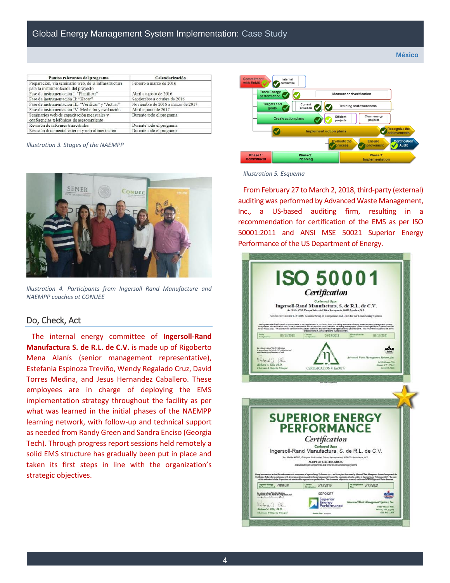| Puntos relevantes del programa                                                                | Calendarización                   |
|-----------------------------------------------------------------------------------------------|-----------------------------------|
| Preparación, vía seminario web, de la infraestructura<br>para la instrumentación del proyecto | Febrero a marzo de 2016           |
| Fase de instrumentación I: "Planificar"                                                       | Abril a agosto de 2016            |
| Fase de instrumentación II: "Hacer"                                                           | Septiembre a octubre de 2016      |
| Fase de instrumentación III: "Verificar" y "Actuar"                                           | Noviembre de 2016 a marzo de 2017 |
| Fase de instrumentación IV: Medición y evaluación                                             | Abril a junio de 2017             |
| Seminarios web de capacitación mensuales y<br>conferencias telefónicas de asesoramiento       | Durante todo el programa          |
| Revisión de informes trimestrales                                                             | Durante todo el programa          |
| Revisión documental externa y retroalimentación                                               | Durante todo el programa          |

*Illustration 3. Stages of the NAEMPP* 



*Illustration 4. Participants from Ingersoll Rand Manufacture and NAEMPP coaches at CONUEE* 

#### Do, Check, Act

The internal energy committee of **Ingersoll-Rand Manufactura S. de R.L. de C.V.** is made up of Rigoberto Mena Alanís (senior management representative), Estefania Espinoza Treviño, Wendy Regalado Cruz, David Torres Medina, and Jesus Hernandez Caballero. These employees are in charge of deploying the EMS implementation strategy throughout the facility as per what was learned in the initial phases of the NAEMPP learning network, with follow-up and technical support as needed from Randy Green and Sandra Enciso (Georgia Tech). Through progress report sessions held remotely a solid EMS structure has gradually been put in place and taken its first steps in line with the organization's strategic objectives.



*Illustration 5. Esquema*

From February 27 to March 2, 2018, third-party (external) auditing was performed by Advanced Waste Management, Inc., a US-based auditing firm, resulting in a recommendation for certification of the EMS as per ISO 50001:2011 and ANSI MSE 50021 Superior Energy Performance of the US Department of Energy.

|                                                          |            |          | Ingersoll-Rand Manufactura, S. de R.L. de C.V.<br>Av. Nafta #750, Parque Industrial Stiva Aeropuerto, 66600 Apodaca, N.L.               | SCOPE OF CERTIFICATION: Manufacturing of Components and Units for Air Conditioning Systems                                                                                |                                                                                                                                                                                                                                      |  |
|----------------------------------------------------------|------------|----------|-----------------------------------------------------------------------------------------------------------------------------------------|---------------------------------------------------------------------------------------------------------------------------------------------------------------------------|--------------------------------------------------------------------------------------------------------------------------------------------------------------------------------------------------------------------------------------|--|
|                                                          |            |          | and conditions of AWMS Rights and Duties document.                                                                                      |                                                                                                                                                                           | .<br>Having been exercised in detail for conformance to the requirements of GG 50001: 2011, and having been determined by Advertisement Sydems, and the man of the format Sydems of the format<br>House of the Conformation Book, to |  |
|                                                          | 03/13/2018 | Carrossi | 03/13/2018                                                                                                                              | Re-ortification                                                                                                                                                           | 03/13/2021                                                                                                                                                                                                                           |  |
| Richard A. Ellis, Ph.D.<br>Chairman & Majority Principal |            |          | CERTIFICATION #: En00277                                                                                                                |                                                                                                                                                                           | Himm, TN 37343<br>423-843-2204                                                                                                                                                                                                       |  |
|                                                          |            |          | Fey, Suite: 05/14/3018                                                                                                                  |                                                                                                                                                                           |                                                                                                                                                                                                                                      |  |
|                                                          |            |          | Certification<br><b>Conferred Upon</b><br>SCOPE OF CERTIFICATION.<br>Manufacturing of Components and Units for Air Conditioning Systems | <b>SUPERIOR ENERGY</b><br><b>PERFORMANCE</b><br>Ingersoll-Rand Manufactura, S. de R.L. de C.V.<br>Av. Nafta #750, Pargue Industrial Stiva Aeropuerto, 66600 Apodaca, N.L. |                                                                                                                                                                                                                                      |  |
| Cent                                                     |            |          |                                                                                                                                         |                                                                                                                                                                           | ie besowiech is druke zudenwerte de oppment d'hyster lingy Helman 2017, wil bete ben dennind ly Alaunt Watchlangenet Jenna, horpoord, th<br>Hoten John to in andenne wit di period of disenals to Engy Mangenativen die oppinten     |  |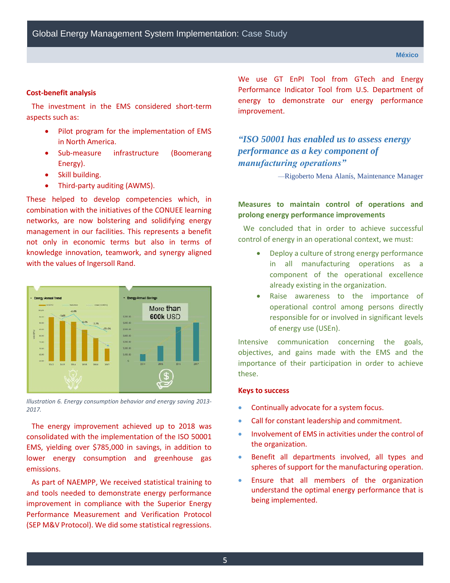#### **Cost-benefit analysis**

The investment in the EMS considered short-term aspects such as:

- Pilot program for the implementation of EMS in North America.
- Sub-measure infrastructure (Boomerang Energy).
- Skill building.
- Third-party auditing (AWMS).

These helped to develop competencies which, in combination with the initiatives of the CONUEE learning networks, are now bolstering and solidifying energy management in our facilities. This represents a benefit not only in economic terms but also in terms of knowledge innovation, teamwork, and synergy aligned with the values of Ingersoll Rand.



*Illustration 6. Energy consumption behavior and energy saving 2013- 2017.*

The energy improvement achieved up to 2018 was consolidated with the implementation of the ISO 50001 EMS, yielding over \$785,000 in savings, in addition to lower energy consumption and greenhouse gas emissions.

As part of NAEMPP, We received statistical training to and tools needed to demonstrate energy performance improvement in compliance with the Superior Energy Performance Measurement and Verification Protocol (SEP M&V Protocol). We did some statistical regressions. We use GT EnPI Tool from GTech and Energy Performance Indicator Tool from U.S. Department of energy to demonstrate our energy performance improvement.

*"ISO 50001 has enabled us to assess energy performance as a key component of manufacturing operations"*

—Rigoberto Mena Alanís, Maintenance Manager

# **Measures to maintain control of operations and prolong energy performance improvements**

We concluded that in order to achieve successful control of energy in an operational context, we must:

- Deploy a culture of strong energy performance in all manufacturing operations as a component of the operational excellence already existing in the organization.
- Raise awareness to the importance of operational control among persons directly responsible for or involved in significant levels of energy use (USEn).

Intensive communication concerning the goals, objectives, and gains made with the EMS and the importance of their participation in order to achieve these.

#### **Keys to success**

- Continually advocate for a system focus.
- Call for constant leadership and commitment.
- Involvement of EMS in activities under the control of the organization.
- Benefit all departments involved, all types and spheres of support for the manufacturing operation.
- Ensure that all members of the organization understand the optimal energy performance that is being implemented.